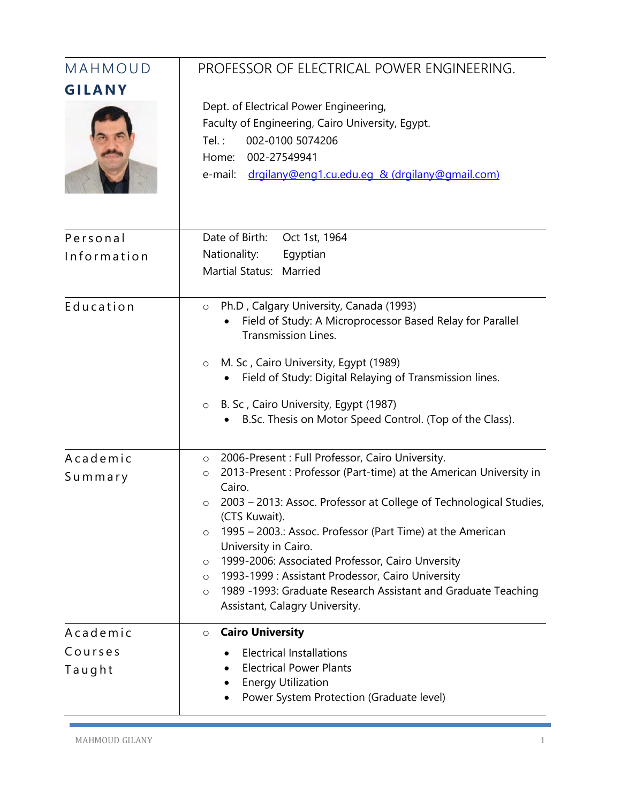| MAHMOUD             | PROFESSOR OF ELECTRICAL POWER ENGINEERING.                                                                                                                                                                                                                                                                                                                                                                                                                                                                                                                                                     |
|---------------------|------------------------------------------------------------------------------------------------------------------------------------------------------------------------------------------------------------------------------------------------------------------------------------------------------------------------------------------------------------------------------------------------------------------------------------------------------------------------------------------------------------------------------------------------------------------------------------------------|
| GILANY              | Dept. of Electrical Power Engineering,<br>Faculty of Engineering, Cairo University, Egypt.<br>002-0100 5074206<br>Tel.:<br>002-27549941<br>Home:<br>e-mail:<br>drgilany@eng1.cu.edu.eg & (drgilany@gmail.com)                                                                                                                                                                                                                                                                                                                                                                                  |
| Personal            | Date of Birth:<br>Oct 1st, 1964                                                                                                                                                                                                                                                                                                                                                                                                                                                                                                                                                                |
| Information         | Nationality:<br>Egyptian<br><b>Martial Status:</b><br>Married                                                                                                                                                                                                                                                                                                                                                                                                                                                                                                                                  |
| Education           | Ph.D, Calgary University, Canada (1993)<br>$\circ$<br>Field of Study: A Microprocessor Based Relay for Parallel<br><b>Transmission Lines.</b><br>M. Sc, Cairo University, Egypt (1989)<br>$\circ$<br>Field of Study: Digital Relaying of Transmission lines.<br>B. Sc, Cairo University, Egypt (1987)<br>$\circ$<br>B.Sc. Thesis on Motor Speed Control. (Top of the Class).                                                                                                                                                                                                                   |
| Academic<br>Summary | 2006-Present : Full Professor, Cairo University.<br>$\circ$<br>2013-Present: Professor (Part-time) at the American University in<br>$\circ$<br>Cairo.<br>2003 - 2013: Assoc. Professor at College of Technological Studies,<br>O<br>(CTS Kuwait).<br>1995 – 2003.: Assoc. Professor (Part Time) at the American<br>$\circ$<br>University in Cairo.<br>1999-2006: Associated Professor, Cairo Unversity<br>$\circ$<br>1993-1999: Assistant Prodessor, Cairo University<br>$\circ$<br>1989 -1993: Graduate Research Assistant and Graduate Teaching<br>$\circ$<br>Assistant, Calagry University. |
| Academic            | <b>Cairo University</b><br>$\circ$                                                                                                                                                                                                                                                                                                                                                                                                                                                                                                                                                             |
| Courses             | <b>Electrical Installations</b>                                                                                                                                                                                                                                                                                                                                                                                                                                                                                                                                                                |
| Taught              | <b>Electrical Power Plants</b><br><b>Energy Utilization</b><br>Power System Protection (Graduate level)                                                                                                                                                                                                                                                                                                                                                                                                                                                                                        |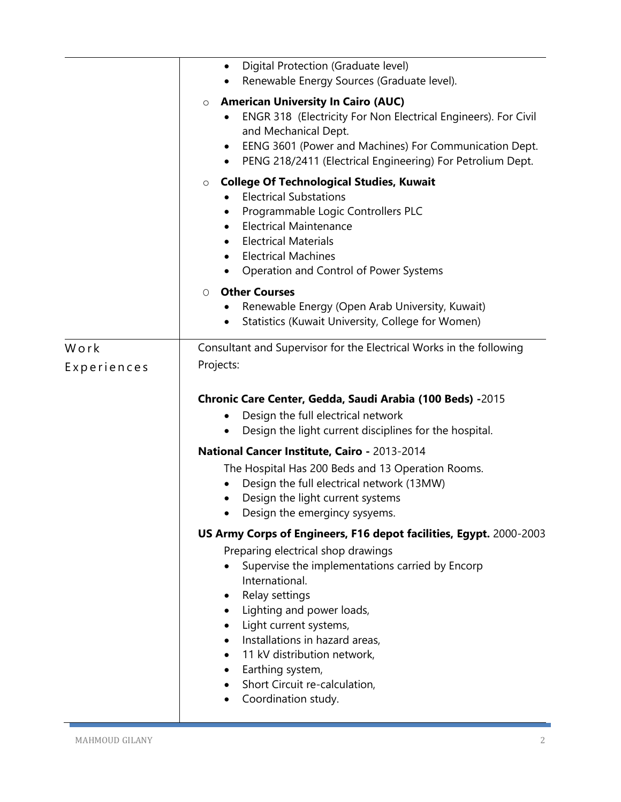|             | Digital Protection (Graduate level)<br>$\bullet$                                                                                                                                                                                                                            |
|-------------|-----------------------------------------------------------------------------------------------------------------------------------------------------------------------------------------------------------------------------------------------------------------------------|
|             |                                                                                                                                                                                                                                                                             |
|             | Renewable Energy Sources (Graduate level).                                                                                                                                                                                                                                  |
|             | <b>American University In Cairo (AUC)</b><br>$\circ$<br>ENGR 318 (Electricity For Non Electrical Engineers). For Civil<br>and Mechanical Dept.<br>EENG 3601 (Power and Machines) For Communication Dept.<br>٠<br>PENG 218/2411 (Electrical Engineering) For Petrolium Dept. |
|             | <b>College Of Technological Studies, Kuwait</b><br>$\circ$                                                                                                                                                                                                                  |
|             | <b>Electrical Substations</b><br>Programmable Logic Controllers PLC<br>$\bullet$<br><b>Electrical Maintenance</b><br>$\bullet$<br><b>Electrical Materials</b><br>$\bullet$<br><b>Electrical Machines</b><br>Operation and Control of Power Systems                          |
|             | <b>Other Courses</b><br>0<br>Renewable Energy (Open Arab University, Kuwait)<br>Statistics (Kuwait University, College for Women)                                                                                                                                           |
| Work        | Consultant and Supervisor for the Electrical Works in the following                                                                                                                                                                                                         |
|             |                                                                                                                                                                                                                                                                             |
| Experiences | Projects:                                                                                                                                                                                                                                                                   |
|             | Chronic Care Center, Gedda, Saudi Arabia (100 Beds) -2015<br>Design the full electrical network<br>Design the light current disciplines for the hospital.                                                                                                                   |
|             | National Cancer Institute, Cairo - 2013-2014                                                                                                                                                                                                                                |
|             | The Hospital Has 200 Beds and 13 Operation Rooms.<br>Design the full electrical network (13MW)<br>Design the light current systems<br>Design the emergincy sysyems.                                                                                                         |
|             | US Army Corps of Engineers, F16 depot facilities, Egypt. 2000-2003                                                                                                                                                                                                          |
|             |                                                                                                                                                                                                                                                                             |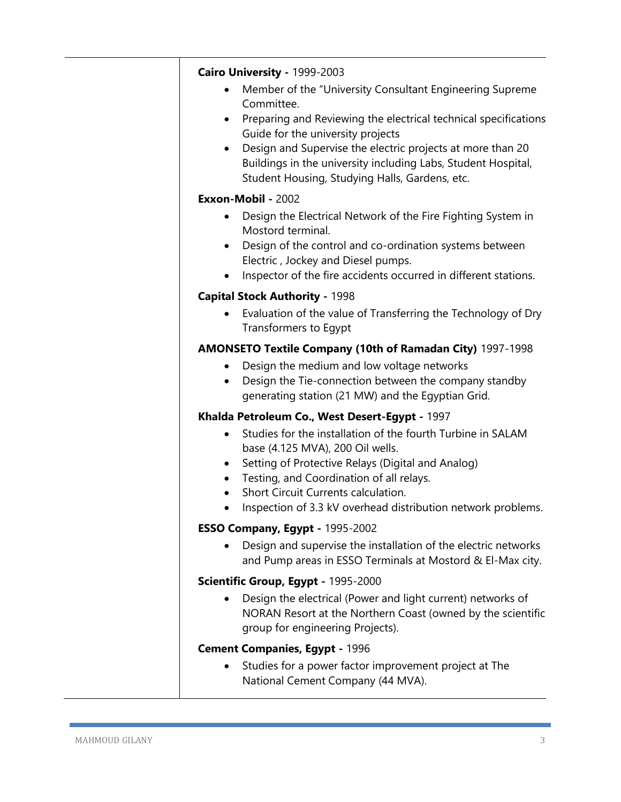| Cairo University - 1999-2003<br>Member of the "University Consultant Engineering Supreme<br>Committee.<br>Preparing and Reviewing the electrical technical specifications<br>٠<br>Guide for the university projects<br>Design and Supervise the electric projects at more than 20<br>$\bullet$<br>Buildings in the university including Labs, Student Hospital,<br>Student Housing, Studying Halls, Gardens, etc. |
|-------------------------------------------------------------------------------------------------------------------------------------------------------------------------------------------------------------------------------------------------------------------------------------------------------------------------------------------------------------------------------------------------------------------|
| Exxon-Mobil - 2002                                                                                                                                                                                                                                                                                                                                                                                                |
| Design the Electrical Network of the Fire Fighting System in<br>$\bullet$<br>Mostord terminal.<br>Design of the control and co-ordination systems between<br>$\bullet$<br>Electric, Jockey and Diesel pumps.<br>Inspector of the fire accidents occurred in different stations.<br>٠                                                                                                                              |
| <b>Capital Stock Authority - 1998</b>                                                                                                                                                                                                                                                                                                                                                                             |
| Evaluation of the value of Transferring the Technology of Dry<br>Transformers to Egypt                                                                                                                                                                                                                                                                                                                            |
| <b>AMONSETO Textile Company (10th of Ramadan City)</b> 1997-1998                                                                                                                                                                                                                                                                                                                                                  |
| Design the medium and low voltage networks<br>$\bullet$<br>Design the Tie-connection between the company standby<br>generating station (21 MW) and the Egyptian Grid.                                                                                                                                                                                                                                             |
| Khalda Petroleum Co., West Desert-Egypt - 1997                                                                                                                                                                                                                                                                                                                                                                    |
| Studies for the installation of the fourth Turbine in SALAM<br>$\bullet$<br>base (4.125 MVA), 200 Oil wells.<br>Setting of Protective Relays (Digital and Analog)<br>$\bullet$<br>Testing, and Coordination of all relays.<br>$\bullet$<br>Short Circuit Currents calculation.<br>Inspection of 3.3 kV overhead distribution network problems.                                                                    |
| ESSO Company, Egypt - 1995-2002                                                                                                                                                                                                                                                                                                                                                                                   |
| Design and supervise the installation of the electric networks<br>and Pump areas in ESSO Terminals at Mostord & El-Max city.                                                                                                                                                                                                                                                                                      |
| Scientific Group, Egypt - 1995-2000                                                                                                                                                                                                                                                                                                                                                                               |
| Design the electrical (Power and light current) networks of<br>NORAN Resort at the Northern Coast (owned by the scientific<br>group for engineering Projects).                                                                                                                                                                                                                                                    |
| <b>Cement Companies, Egypt - 1996</b>                                                                                                                                                                                                                                                                                                                                                                             |
| Studies for a power factor improvement project at The<br>National Cement Company (44 MVA).                                                                                                                                                                                                                                                                                                                        |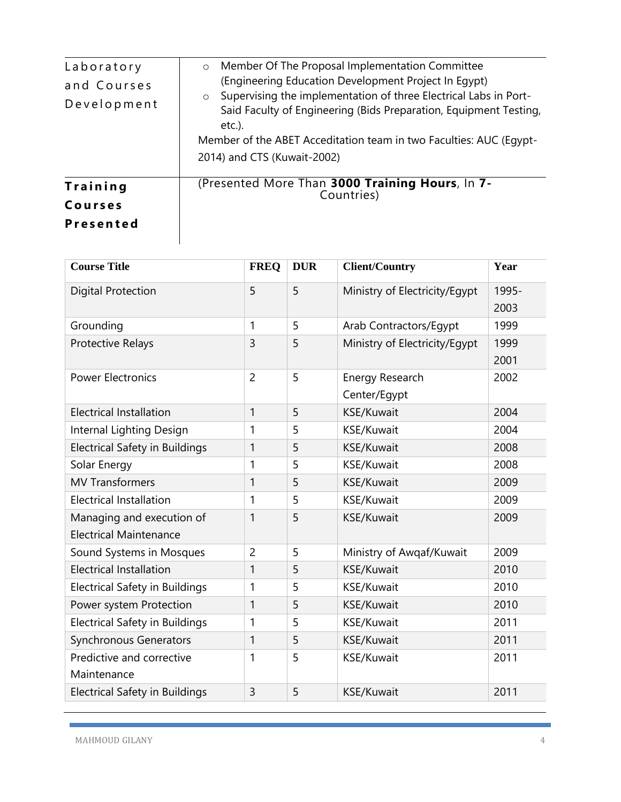| Laboratory<br>and Courses<br>Development | Member Of The Proposal Implementation Committee<br>$\circ$<br>(Engineering Education Development Project In Egypt)<br>Supervising the implementation of three Electrical Labs in Port-<br>$\circ$<br>Said Faculty of Engineering (Bids Preparation, Equipment Testing,<br>$etc.$ ).<br>Member of the ABET Acceditation team in two Faculties: AUC (Egypt-<br>2014) and CTS (Kuwait-2002) |
|------------------------------------------|------------------------------------------------------------------------------------------------------------------------------------------------------------------------------------------------------------------------------------------------------------------------------------------------------------------------------------------------------------------------------------------|
| Training<br>Courses<br><b>Presented</b>  | (Presented More Than 3000 Training Hours, In 7-<br>Countries)                                                                                                                                                                                                                                                                                                                            |

| <b>Course Title</b>                   | <b>FREQ</b>    | <b>DUR</b> | <b>Client/Country</b>         | Year  |
|---------------------------------------|----------------|------------|-------------------------------|-------|
| <b>Digital Protection</b>             | 5              | 5          | Ministry of Electricity/Egypt | 1995- |
|                                       |                |            |                               | 2003  |
| Grounding                             | 1              | 5          | Arab Contractors/Egypt        | 1999  |
| Protective Relays                     | 3              | 5          | Ministry of Electricity/Egypt | 1999  |
|                                       |                |            |                               | 2001  |
| <b>Power Electronics</b>              | $\overline{2}$ | 5          | Energy Research               | 2002  |
|                                       |                |            | Center/Egypt                  |       |
| <b>Electrical Installation</b>        | $\mathbf{1}$   | 5          | KSE/Kuwait                    | 2004  |
| Internal Lighting Design              | 1              | 5          | KSE/Kuwait                    | 2004  |
| <b>Electrical Safety in Buildings</b> | 1              | 5          | KSE/Kuwait                    | 2008  |
| Solar Energy                          | 1              | 5          | KSE/Kuwait                    | 2008  |
| <b>MV Transformers</b>                | 1              | 5          | KSE/Kuwait                    | 2009  |
| <b>Electrical Installation</b>        | 1              | 5          | KSE/Kuwait                    | 2009  |
| Managing and execution of             | 1              | 5          | KSE/Kuwait                    | 2009  |
| <b>Electrical Maintenance</b>         |                |            |                               |       |
| Sound Systems in Mosques              | $\overline{2}$ | 5          | Ministry of Awqaf/Kuwait      | 2009  |
| <b>Electrical Installation</b>        | $\mathbf{1}$   | 5          | KSE/Kuwait                    | 2010  |
| <b>Electrical Safety in Buildings</b> | 1              | 5          | KSE/Kuwait                    | 2010  |
| Power system Protection               | $\mathbf{1}$   | 5          | KSE/Kuwait                    | 2010  |
| <b>Electrical Safety in Buildings</b> | 1              | 5          | KSE/Kuwait                    | 2011  |
| <b>Synchronous Generators</b>         | $\mathbf{1}$   | 5          | KSE/Kuwait                    | 2011  |
| Predictive and corrective             | 1              | 5          | KSE/Kuwait                    | 2011  |
| Maintenance                           |                |            |                               |       |
| <b>Electrical Safety in Buildings</b> | 3              | 5          | KSE/Kuwait                    | 2011  |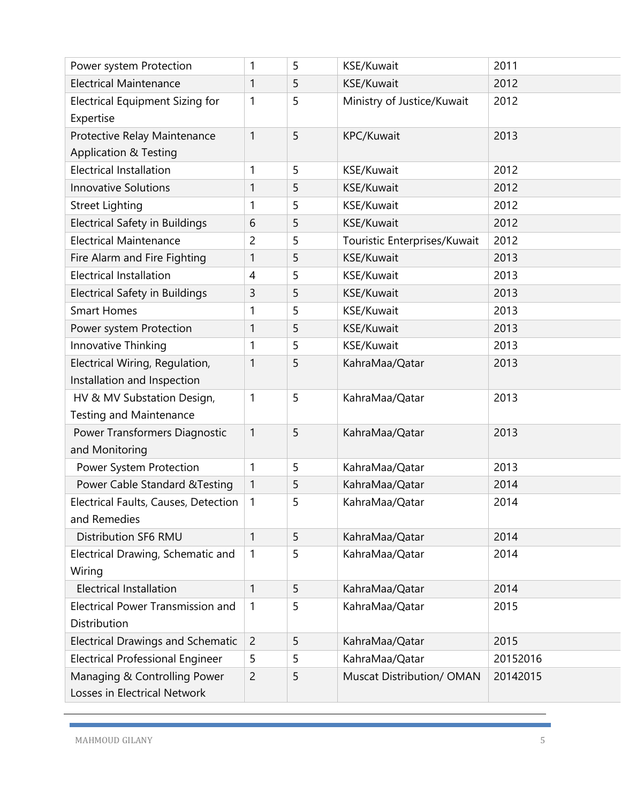| Power system Protection                  | 1              | 5 | <b>KSE/Kuwait</b>            | 2011     |
|------------------------------------------|----------------|---|------------------------------|----------|
| <b>Electrical Maintenance</b>            | 1              | 5 | KSE/Kuwait                   | 2012     |
| Electrical Equipment Sizing for          | 1              | 5 | Ministry of Justice/Kuwait   | 2012     |
| Expertise                                |                |   |                              |          |
| Protective Relay Maintenance             | 1              | 5 | KPC/Kuwait                   | 2013     |
| <b>Application &amp; Testing</b>         |                |   |                              |          |
| <b>Electrical Installation</b>           | 1              | 5 | <b>KSE/Kuwait</b>            | 2012     |
| <b>Innovative Solutions</b>              | 1              | 5 | KSE/Kuwait                   | 2012     |
| <b>Street Lighting</b>                   | 1              | 5 | <b>KSE/Kuwait</b>            | 2012     |
| <b>Electrical Safety in Buildings</b>    | 6              | 5 | KSE/Kuwait                   | 2012     |
| <b>Electrical Maintenance</b>            | 2              | 5 | Touristic Enterprises/Kuwait | 2012     |
| Fire Alarm and Fire Fighting             | 1              | 5 | KSE/Kuwait                   | 2013     |
| <b>Electrical Installation</b>           | $\overline{4}$ | 5 | <b>KSE/Kuwait</b>            | 2013     |
| <b>Electrical Safety in Buildings</b>    | 3              | 5 | KSE/Kuwait                   | 2013     |
| <b>Smart Homes</b>                       | 1              | 5 | KSE/Kuwait                   | 2013     |
| Power system Protection                  | 1              | 5 | KSE/Kuwait                   | 2013     |
| Innovative Thinking                      | 1              | 5 | KSE/Kuwait                   | 2013     |
| Electrical Wiring, Regulation,           | 1              | 5 | KahraMaa/Qatar               | 2013     |
| Installation and Inspection              |                |   |                              |          |
| HV & MV Substation Design,               | 1              | 5 | KahraMaa/Qatar               | 2013     |
| <b>Testing and Maintenance</b>           |                |   |                              |          |
| Power Transformers Diagnostic            | 1              | 5 | KahraMaa/Qatar               | 2013     |
| and Monitoring                           |                |   |                              |          |
| Power System Protection                  | 1              | 5 | KahraMaa/Qatar               | 2013     |
| Power Cable Standard & Testing           | 1              | 5 | KahraMaa/Qatar               | 2014     |
| Electrical Faults, Causes, Detection     | 1              | 5 | KahraMaa/Qatar               | 2014     |
| and Remedies                             |                |   |                              |          |
| <b>Distribution SF6 RMU</b>              | $\mathbf{1}$   | 5 | KahraMaa/Qatar               | 2014     |
| Electrical Drawing, Schematic and        | 1              | 5 | KahraMaa/Qatar               | 2014     |
| Wiring                                   |                |   |                              |          |
| <b>Electrical Installation</b>           | 1              | 5 | KahraMaa/Qatar               | 2014     |
| <b>Electrical Power Transmission and</b> | 1              | 5 | KahraMaa/Qatar               | 2015     |
| Distribution                             |                |   |                              |          |
| <b>Electrical Drawings and Schematic</b> | $\overline{2}$ | 5 | KahraMaa/Qatar               | 2015     |
| <b>Electrical Professional Engineer</b>  | 5              | 5 | KahraMaa/Qatar               | 20152016 |
| Managing & Controlling Power             | $\overline{c}$ | 5 | Muscat Distribution/ OMAN    | 20142015 |
| Losses in Electrical Network             |                |   |                              |          |
|                                          |                |   |                              |          |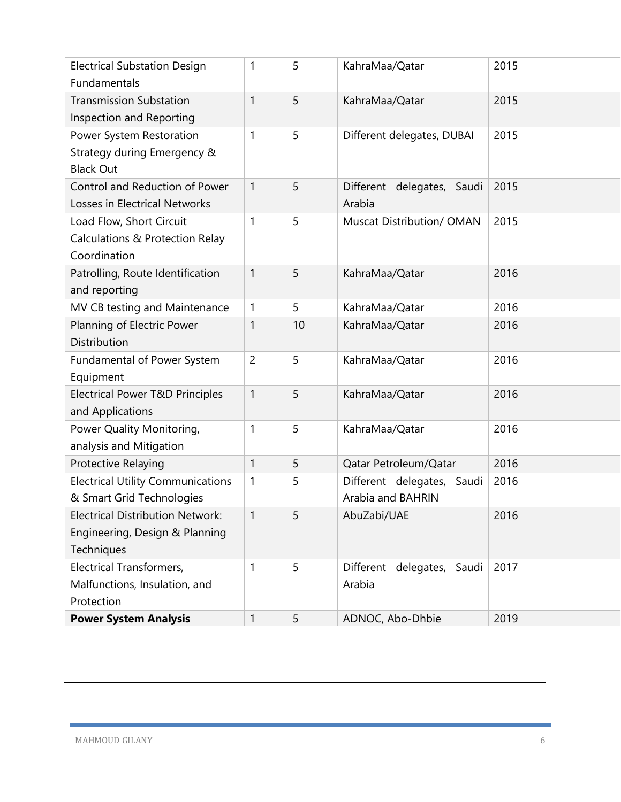| <b>Electrical Substation Design</b><br>Fundamentals | 1            | 5  | KahraMaa/Qatar                   | 2015 |
|-----------------------------------------------------|--------------|----|----------------------------------|------|
| <b>Transmission Substation</b>                      | 1            | 5  | KahraMaa/Qatar                   | 2015 |
| Inspection and Reporting                            |              |    |                                  |      |
| Power System Restoration                            | 1            | 5  | Different delegates, DUBAI       | 2015 |
| Strategy during Emergency &                         |              |    |                                  |      |
| <b>Black Out</b>                                    |              |    |                                  |      |
| Control and Reduction of Power                      | 1            | 5  | Different delegates, Saudi       | 2015 |
| Losses in Electrical Networks                       |              |    | Arabia                           |      |
| Load Flow, Short Circuit                            | 1            | 5  | Muscat Distribution/ OMAN        | 2015 |
| Calculations & Protection Relay                     |              |    |                                  |      |
| Coordination                                        |              |    |                                  |      |
| Patrolling, Route Identification                    | 1            | 5  | KahraMaa/Qatar                   | 2016 |
| and reporting                                       |              |    |                                  |      |
| MV CB testing and Maintenance                       | 1            | 5  | KahraMaa/Qatar                   | 2016 |
|                                                     | 1            | 10 | KahraMaa/Qatar                   | 2016 |
| Planning of Electric Power<br>Distribution          |              |    |                                  |      |
|                                                     | 2            | 5  | KahraMaa/Qatar                   | 2016 |
| Fundamental of Power System                         |              |    |                                  |      |
| Equipment                                           | $\mathbf{1}$ | 5  |                                  | 2016 |
| Electrical Power T&D Principles                     |              |    | KahraMaa/Qatar                   |      |
| and Applications                                    | 1            | 5  |                                  | 2016 |
| Power Quality Monitoring,                           |              |    | KahraMaa/Qatar                   |      |
| analysis and Mitigation                             |              |    |                                  | 2016 |
| Protective Relaying                                 | 1            | 5  | Qatar Petroleum/Qatar            |      |
| <b>Electrical Utility Communications</b>            | 1            | 5  | Different delegates,<br>Saudi    | 2016 |
| & Smart Grid Technologies                           |              |    | Arabia and BAHRIN                |      |
| <b>Electrical Distribution Network:</b>             | 1            | 5  | AbuZabi/UAE                      | 2016 |
| Engineering, Design & Planning                      |              |    |                                  |      |
| Techniques                                          |              |    |                                  |      |
| <b>Electrical Transformers,</b>                     | 1            | 5  | delegates,<br>Different<br>Saudi | 2017 |
| Malfunctions, Insulation, and                       |              |    | Arabia                           |      |
| Protection                                          |              |    |                                  |      |
| <b>Power System Analysis</b>                        | 1            | 5  | ADNOC, Abo-Dhbie                 | 2019 |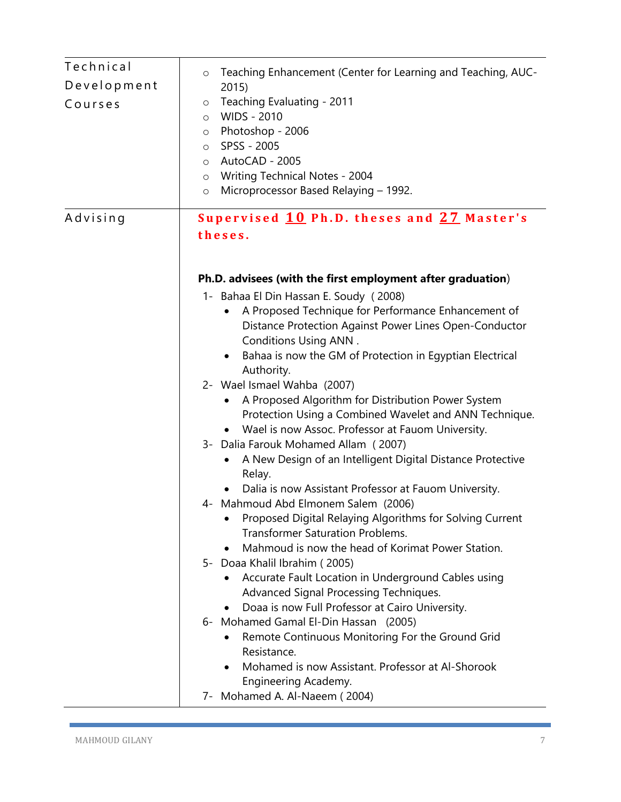| Technical<br>Development<br>Courses | Teaching Enhancement (Center for Learning and Teaching, AUC-<br>$\circ$<br>2015<br>Teaching Evaluating - 2011<br>$\circ$<br>WIDS - 2010<br>$\circ$<br>Photoshop - 2006<br>$\circ$<br>SPSS - 2005<br>$\circ$<br>o AutoCAD - 2005<br>o Writing Technical Notes - 2004<br>Microprocessor Based Relaying - 1992.<br>$\circ$                                                                                                                                                                                                                                                                                                                                                                                                                                                                                                                                                                                                                                                                                                                                                                                                                                                                                                                                                                                                                                   |
|-------------------------------------|-----------------------------------------------------------------------------------------------------------------------------------------------------------------------------------------------------------------------------------------------------------------------------------------------------------------------------------------------------------------------------------------------------------------------------------------------------------------------------------------------------------------------------------------------------------------------------------------------------------------------------------------------------------------------------------------------------------------------------------------------------------------------------------------------------------------------------------------------------------------------------------------------------------------------------------------------------------------------------------------------------------------------------------------------------------------------------------------------------------------------------------------------------------------------------------------------------------------------------------------------------------------------------------------------------------------------------------------------------------|
| Advising                            | Supervised 10 Ph.D. theses and 27 Master's<br>theses.                                                                                                                                                                                                                                                                                                                                                                                                                                                                                                                                                                                                                                                                                                                                                                                                                                                                                                                                                                                                                                                                                                                                                                                                                                                                                                     |
|                                     | Ph.D. advisees (with the first employment after graduation)<br>1- Bahaa El Din Hassan E. Soudy (2008)<br>A Proposed Technique for Performance Enhancement of<br>Distance Protection Against Power Lines Open-Conductor<br><b>Conditions Using ANN.</b><br>Bahaa is now the GM of Protection in Egyptian Electrical<br>$\bullet$<br>Authority.<br>2- Wael Ismael Wahba (2007)<br>A Proposed Algorithm for Distribution Power System<br>Protection Using a Combined Wavelet and ANN Technique.<br>Wael is now Assoc. Professor at Fauom University.<br>3- Dalia Farouk Mohamed Allam (2007)<br>A New Design of an Intelligent Digital Distance Protective<br>Relay.<br>Dalia is now Assistant Professor at Fauom University.<br>4- Mahmoud Abd Elmonem Salem (2006)<br>Proposed Digital Relaying Algorithms for Solving Current<br><b>Transformer Saturation Problems.</b><br>Mahmoud is now the head of Korimat Power Station.<br>$\bullet$<br>5- Doaa Khalil Ibrahim (2005)<br>Accurate Fault Location in Underground Cables using<br>Advanced Signal Processing Techniques.<br>Doaa is now Full Professor at Cairo University.<br>6- Mohamed Gamal El-Din Hassan (2005)<br>Remote Continuous Monitoring For the Ground Grid<br>Resistance.<br>Mohamed is now Assistant. Professor at Al-Shorook<br>Engineering Academy.<br>7- Mohamed A. Al-Naeem (2004) |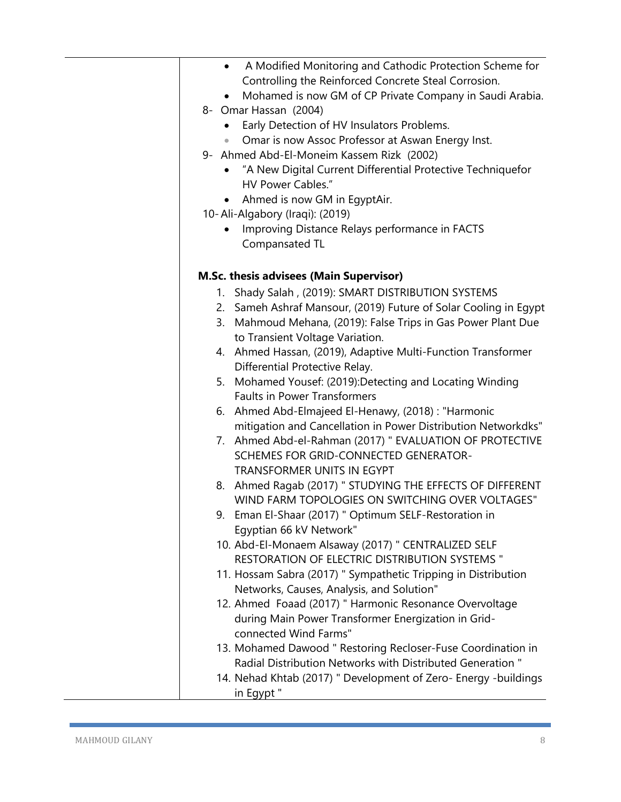| A Modified Monitoring and Cathodic Protection Scheme for<br>$\bullet$ |
|-----------------------------------------------------------------------|
| Controlling the Reinforced Concrete Steal Corrosion.                  |
| Mohamed is now GM of CP Private Company in Saudi Arabia.              |
| 8- Omar Hassan (2004)                                                 |
| Early Detection of HV Insulators Problems.                            |
| Omar is now Assoc Professor at Aswan Energy Inst.                     |
| 9- Ahmed Abd-El-Moneim Kassem Rizk (2002)                             |
| "A New Digital Current Differential Protective Techniquefor           |
| HV Power Cables."                                                     |
| Ahmed is now GM in EgyptAir.                                          |
|                                                                       |
| 10-Ali-Algabory (Iraqi): (2019)                                       |
| Improving Distance Relays performance in FACTS                        |
| Compansated TL                                                        |
| <b>M.Sc. thesis advisees (Main Supervisor)</b>                        |
| 1. Shady Salah, (2019): SMART DISTRIBUTION SYSTEMS                    |
| 2. Sameh Ashraf Mansour, (2019) Future of Solar Cooling in Egypt      |
| 3. Mahmoud Mehana, (2019): False Trips in Gas Power Plant Due         |
| to Transient Voltage Variation.                                       |
| 4. Ahmed Hassan, (2019), Adaptive Multi-Function Transformer          |
| Differential Protective Relay.                                        |
|                                                                       |
| 5. Mohamed Yousef: (2019):Detecting and Locating Winding              |
| <b>Faults in Power Transformers</b>                                   |
| 6. Ahmed Abd-Elmajeed El-Henawy, (2018) : "Harmonic                   |
| mitigation and Cancellation in Power Distribution Networkdks"         |
| 7. Ahmed Abd-el-Rahman (2017) " EVALUATION OF PROTECTIVE              |
| SCHEMES FOR GRID-CONNECTED GENERATOR-                                 |
| TRANSFORMER UNITS IN EGYPT                                            |
| 8. Ahmed Ragab (2017) " STUDYING THE EFFECTS OF DIFFERENT             |
| WIND FARM TOPOLOGIES ON SWITCHING OVER VOLTAGES"                      |
| 9. Eman El-Shaar (2017) " Optimum SELF-Restoration in                 |
| Egyptian 66 kV Network"                                               |
| 10. Abd-El-Monaem Alsaway (2017) " CENTRALIZED SELF                   |
| <b>RESTORATION OF ELECTRIC DISTRIBUTION SYSTEMS "</b>                 |
| 11. Hossam Sabra (2017) " Sympathetic Tripping in Distribution        |
| Networks, Causes, Analysis, and Solution"                             |
| 12. Ahmed Foaad (2017) " Harmonic Resonance Overvoltage               |
| during Main Power Transformer Energization in Grid-                   |
| connected Wind Farms"                                                 |
| 13. Mohamed Dawood " Restoring Recloser-Fuse Coordination in          |
| Radial Distribution Networks with Distributed Generation"             |
|                                                                       |
| 14. Nehad Khtab (2017) " Development of Zero- Energy -buildings       |
| in Egypt"                                                             |

ш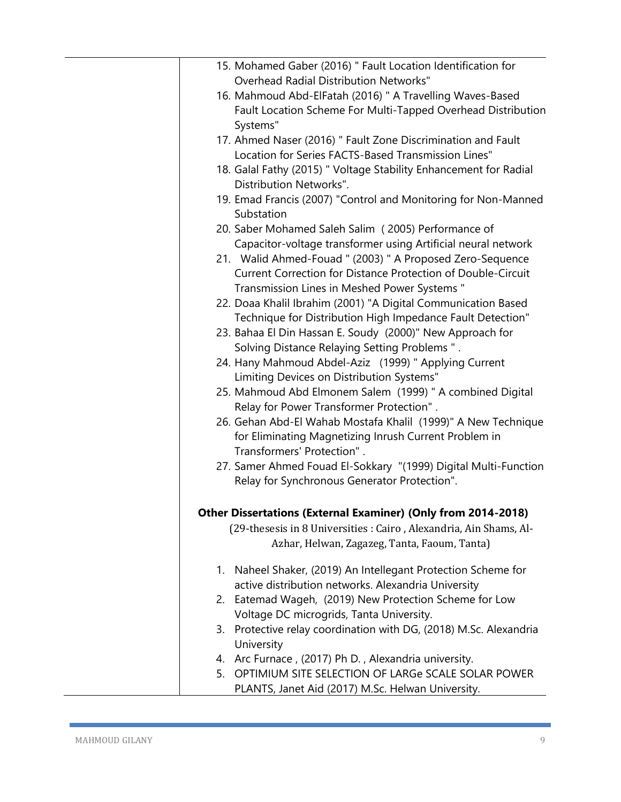| 15. Mohamed Gaber (2016) " Fault Location Identification for         |
|----------------------------------------------------------------------|
| <b>Overhead Radial Distribution Networks"</b>                        |
| 16. Mahmoud Abd-ElFatah (2016) " A Travelling Waves-Based            |
| Fault Location Scheme For Multi-Tapped Overhead Distribution         |
| Systems"                                                             |
| 17. Ahmed Naser (2016) " Fault Zone Discrimination and Fault         |
| Location for Series FACTS-Based Transmission Lines"                  |
| 18. Galal Fathy (2015) " Voltage Stability Enhancement for Radial    |
| Distribution Networks".                                              |
| 19. Emad Francis (2007) "Control and Monitoring for Non-Manned       |
| Substation                                                           |
| 20. Saber Mohamed Saleh Salim (2005) Performance of                  |
| Capacitor-voltage transformer using Artificial neural network        |
| 21. Walid Ahmed-Fouad " (2003) " A Proposed Zero-Sequence            |
| <b>Current Correction for Distance Protection of Double-Circuit</b>  |
| Transmission Lines in Meshed Power Systems "                         |
| 22. Doaa Khalil Ibrahim (2001) "A Digital Communication Based        |
| Technique for Distribution High Impedance Fault Detection"           |
| 23. Bahaa El Din Hassan E. Soudy (2000)" New Approach for            |
| Solving Distance Relaying Setting Problems ".                        |
| 24. Hany Mahmoud Abdel-Aziz (1999) " Applying Current                |
| Limiting Devices on Distribution Systems"                            |
| 25. Mahmoud Abd Elmonem Salem (1999) " A combined Digital            |
| Relay for Power Transformer Protection".                             |
| 26. Gehan Abd-El Wahab Mostafa Khalil (1999)" A New Technique        |
| for Eliminating Magnetizing Inrush Current Problem in                |
| Transformers' Protection".                                           |
| 27. Samer Ahmed Fouad El-Sokkary "(1999) Digital Multi-Function      |
| Relay for Synchronous Generator Protection".                         |
| <b>Other Dissertations (External Examiner) (Only from 2014-2018)</b> |
| (29-thesesis in 8 Universities : Cairo, Alexandria, Ain Shams, Al-   |
| Azhar, Helwan, Zagazeg, Tanta, Faoum, Tanta)                         |
| 1. Naheel Shaker, (2019) An Intellegant Protection Scheme for        |
| active distribution networks. Alexandria University                  |
| 2. Eatemad Wageh, (2019) New Protection Scheme for Low               |
| Voltage DC microgrids, Tanta University.                             |
| 3. Protective relay coordination with DG, (2018) M.Sc. Alexandria    |
| University                                                           |
| 4. Arc Furnace, (2017) Ph D., Alexandria university.                 |
| 5. OPTIMIUM SITE SELECTION OF LARGe SCALE SOLAR POWER                |
| PLANTS, Janet Aid (2017) M.Sc. Helwan University.                    |

 $\overline{\phantom{0}}$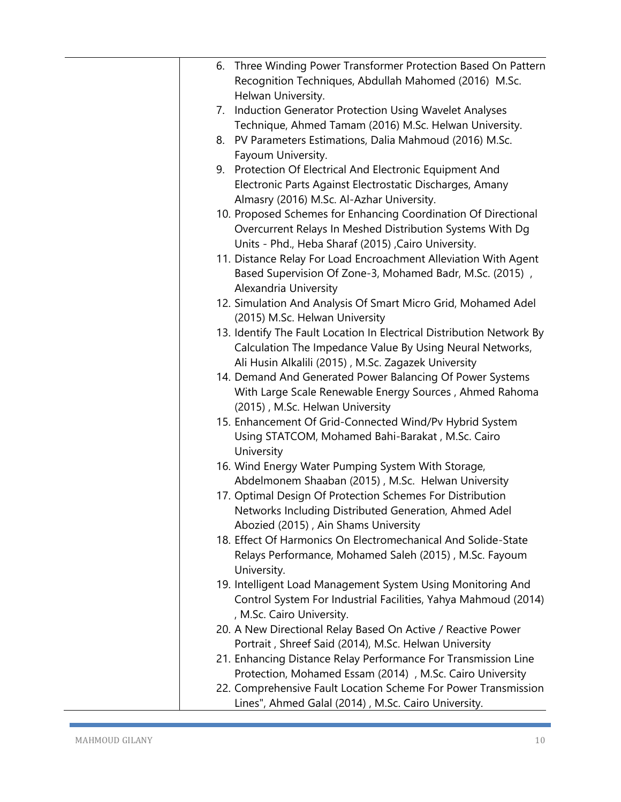| 6. Three Winding Power Transformer Protection Based On Pattern        |
|-----------------------------------------------------------------------|
| Recognition Techniques, Abdullah Mahomed (2016) M.Sc.                 |
| Helwan University.                                                    |
| 7. Induction Generator Protection Using Wavelet Analyses              |
| Technique, Ahmed Tamam (2016) M.Sc. Helwan University.                |
| 8. PV Parameters Estimations, Dalia Mahmoud (2016) M.Sc.              |
| Fayoum University.                                                    |
| 9. Protection Of Electrical And Electronic Equipment And              |
| Electronic Parts Against Electrostatic Discharges, Amany              |
|                                                                       |
| Almasry (2016) M.Sc. Al-Azhar University.                             |
| 10. Proposed Schemes for Enhancing Coordination Of Directional        |
| Overcurrent Relays In Meshed Distribution Systems With Dg             |
| Units - Phd., Heba Sharaf (2015) , Cairo University.                  |
| 11. Distance Relay For Load Encroachment Alleviation With Agent       |
| Based Supervision Of Zone-3, Mohamed Badr, M.Sc. (2015),              |
| Alexandria University                                                 |
| 12. Simulation And Analysis Of Smart Micro Grid, Mohamed Adel         |
| (2015) M.Sc. Helwan University                                        |
| 13. Identify The Fault Location In Electrical Distribution Network By |
| Calculation The Impedance Value By Using Neural Networks,             |
| Ali Husin Alkalili (2015), M.Sc. Zagazek University                   |
| 14. Demand And Generated Power Balancing Of Power Systems             |
| With Large Scale Renewable Energy Sources, Ahmed Rahoma               |
| (2015), M.Sc. Helwan University                                       |
| 15. Enhancement Of Grid-Connected Wind/Pv Hybrid System               |
| Using STATCOM, Mohamed Bahi-Barakat, M.Sc. Cairo                      |
| University                                                            |
| 16. Wind Energy Water Pumping System With Storage,                    |
| Abdelmonem Shaaban (2015), M.Sc. Helwan University                    |
| 17. Optimal Design Of Protection Schemes For Distribution             |
| Networks Including Distributed Generation, Ahmed Adel                 |
| Abozied (2015), Ain Shams University                                  |
| 18. Effect Of Harmonics On Electromechanical And Solide-State         |
| Relays Performance, Mohamed Saleh (2015), M.Sc. Fayoum                |
| University.                                                           |
| 19. Intelligent Load Management System Using Monitoring And           |
| Control System For Industrial Facilities, Yahya Mahmoud (2014)        |
| , M.Sc. Cairo University.                                             |
| 20. A New Directional Relay Based On Active / Reactive Power          |
| Portrait, Shreef Said (2014), M.Sc. Helwan University                 |
| 21. Enhancing Distance Relay Performance For Transmission Line        |
| Protection, Mohamed Essam (2014), M.Sc. Cairo University              |
| 22. Comprehensive Fault Location Scheme For Power Transmission        |
| Lines", Ahmed Galal (2014), M.Sc. Cairo University.                   |
|                                                                       |

ш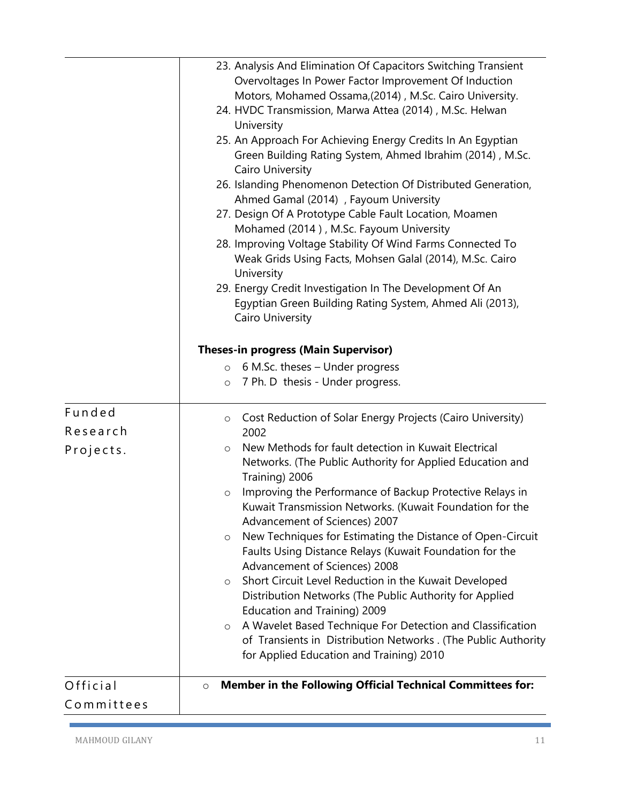|            | 23. Analysis And Elimination Of Capacitors Switching Transient<br>Overvoltages In Power Factor Improvement Of Induction<br>Motors, Mohamed Ossama, (2014), M.Sc. Cairo University.<br>24. HVDC Transmission, Marwa Attea (2014), M.Sc. Helwan<br>University<br>25. An Approach For Achieving Energy Credits In An Egyptian<br>Green Building Rating System, Ahmed Ibrahim (2014), M.Sc.<br>Cairo University<br>26. Islanding Phenomenon Detection Of Distributed Generation,<br>Ahmed Gamal (2014), Fayoum University<br>27. Design Of A Prototype Cable Fault Location, Moamen<br>Mohamed (2014), M.Sc. Fayoum University<br>28. Improving Voltage Stability Of Wind Farms Connected To<br>Weak Grids Using Facts, Mohsen Galal (2014), M.Sc. Cairo<br>University<br>29. Energy Credit Investigation In The Development Of An<br>Egyptian Green Building Rating System, Ahmed Ali (2013),<br>Cairo University<br><b>Theses-in progress (Main Supervisor)</b><br>$\circ$ 6 M.Sc. theses – Under progress<br>7 Ph. D thesis - Under progress.<br>$\circ$ |
|------------|---------------------------------------------------------------------------------------------------------------------------------------------------------------------------------------------------------------------------------------------------------------------------------------------------------------------------------------------------------------------------------------------------------------------------------------------------------------------------------------------------------------------------------------------------------------------------------------------------------------------------------------------------------------------------------------------------------------------------------------------------------------------------------------------------------------------------------------------------------------------------------------------------------------------------------------------------------------------------------------------------------------------------------------------------------|
| Funded     | Cost Reduction of Solar Energy Projects (Cairo University)<br>$\circ$                                                                                                                                                                                                                                                                                                                                                                                                                                                                                                                                                                                                                                                                                                                                                                                                                                                                                                                                                                                   |
| Research   | 2002                                                                                                                                                                                                                                                                                                                                                                                                                                                                                                                                                                                                                                                                                                                                                                                                                                                                                                                                                                                                                                                    |
| Projects.  | New Methods for fault detection in Kuwait Electrical<br>$\circ$<br>Networks. (The Public Authority for Applied Education and<br>Training) 2006<br>Improving the Performance of Backup Protective Relays in<br>$\circ$<br>Kuwait Transmission Networks. (Kuwait Foundation for the<br>Advancement of Sciences) 2007<br>New Techniques for Estimating the Distance of Open-Circuit<br>$\circ$<br>Faults Using Distance Relays (Kuwait Foundation for the<br>Advancement of Sciences) 2008<br>Short Circuit Level Reduction in the Kuwait Developed<br>$\circ$<br>Distribution Networks (The Public Authority for Applied<br>Education and Training) 2009<br>A Wavelet Based Technique For Detection and Classification<br>$\circ$<br>of Transients in Distribution Networks . (The Public Authority<br>for Applied Education and Training) 2010                                                                                                                                                                                                           |
| Official   | Member in the Following Official Technical Committees for:<br>$\circ$                                                                                                                                                                                                                                                                                                                                                                                                                                                                                                                                                                                                                                                                                                                                                                                                                                                                                                                                                                                   |
| Committees |                                                                                                                                                                                                                                                                                                                                                                                                                                                                                                                                                                                                                                                                                                                                                                                                                                                                                                                                                                                                                                                         |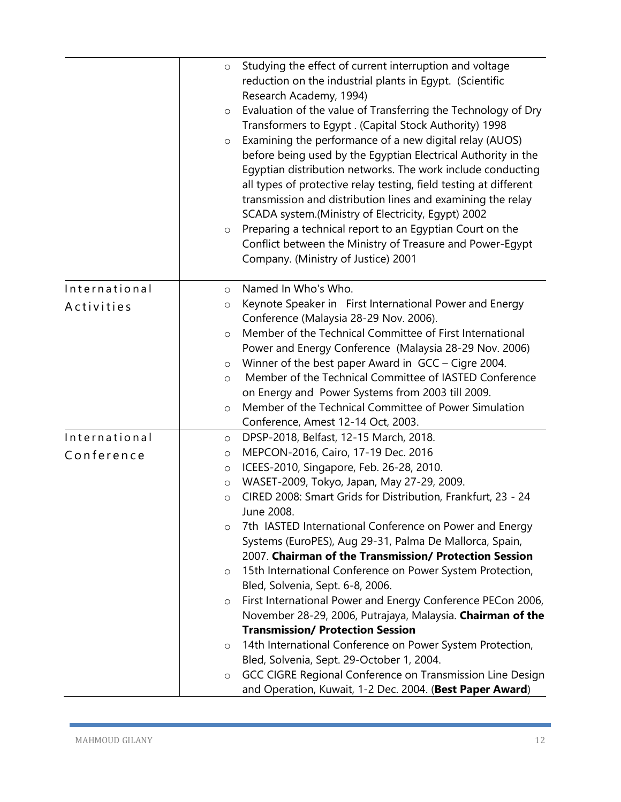|               | $\circ$<br>$\circ$<br>$\circ$<br>$\circ$ | Studying the effect of current interruption and voltage<br>reduction on the industrial plants in Egypt. (Scientific<br>Research Academy, 1994)<br>Evaluation of the value of Transferring the Technology of Dry<br>Transformers to Egypt. (Capital Stock Authority) 1998<br>Examining the performance of a new digital relay (AUOS)<br>before being used by the Egyptian Electrical Authority in the<br>Egyptian distribution networks. The work include conducting<br>all types of protective relay testing, field testing at different<br>transmission and distribution lines and examining the relay<br>SCADA system.(Ministry of Electricity, Egypt) 2002<br>Preparing a technical report to an Egyptian Court on the<br>Conflict between the Ministry of Treasure and Power-Egypt<br>Company. (Ministry of Justice) 2001 |
|---------------|------------------------------------------|-------------------------------------------------------------------------------------------------------------------------------------------------------------------------------------------------------------------------------------------------------------------------------------------------------------------------------------------------------------------------------------------------------------------------------------------------------------------------------------------------------------------------------------------------------------------------------------------------------------------------------------------------------------------------------------------------------------------------------------------------------------------------------------------------------------------------------|
|               |                                          |                                                                                                                                                                                                                                                                                                                                                                                                                                                                                                                                                                                                                                                                                                                                                                                                                               |
| International | $\circ$                                  | Named In Who's Who.                                                                                                                                                                                                                                                                                                                                                                                                                                                                                                                                                                                                                                                                                                                                                                                                           |
| Activities    | O                                        | Keynote Speaker in First International Power and Energy                                                                                                                                                                                                                                                                                                                                                                                                                                                                                                                                                                                                                                                                                                                                                                       |
|               |                                          | Conference (Malaysia 28-29 Nov. 2006).<br>Member of the Technical Committee of First International                                                                                                                                                                                                                                                                                                                                                                                                                                                                                                                                                                                                                                                                                                                            |
|               | $\circ$                                  | Power and Energy Conference (Malaysia 28-29 Nov. 2006)                                                                                                                                                                                                                                                                                                                                                                                                                                                                                                                                                                                                                                                                                                                                                                        |
|               | $\circ$                                  | Winner of the best paper Award in GCC – Cigre 2004.                                                                                                                                                                                                                                                                                                                                                                                                                                                                                                                                                                                                                                                                                                                                                                           |
|               | $\circ$                                  | Member of the Technical Committee of IASTED Conference                                                                                                                                                                                                                                                                                                                                                                                                                                                                                                                                                                                                                                                                                                                                                                        |
|               |                                          | on Energy and Power Systems from 2003 till 2009.                                                                                                                                                                                                                                                                                                                                                                                                                                                                                                                                                                                                                                                                                                                                                                              |
|               | $\circ$                                  | Member of the Technical Committee of Power Simulation                                                                                                                                                                                                                                                                                                                                                                                                                                                                                                                                                                                                                                                                                                                                                                         |
|               |                                          | Conference, Amest 12-14 Oct, 2003.                                                                                                                                                                                                                                                                                                                                                                                                                                                                                                                                                                                                                                                                                                                                                                                            |
| International | $\circ$                                  | DPSP-2018, Belfast, 12-15 March, 2018.                                                                                                                                                                                                                                                                                                                                                                                                                                                                                                                                                                                                                                                                                                                                                                                        |
| Conference    | $\circ$                                  | MEPCON-2016, Cairo, 17-19 Dec. 2016                                                                                                                                                                                                                                                                                                                                                                                                                                                                                                                                                                                                                                                                                                                                                                                           |
|               | $\circ$                                  | ICEES-2010, Singapore, Feb. 26-28, 2010.                                                                                                                                                                                                                                                                                                                                                                                                                                                                                                                                                                                                                                                                                                                                                                                      |
|               | $\circ$                                  | WASET-2009, Tokyo, Japan, May 27-29, 2009.                                                                                                                                                                                                                                                                                                                                                                                                                                                                                                                                                                                                                                                                                                                                                                                    |
|               | $\circ$                                  | CIRED 2008: Smart Grids for Distribution, Frankfurt, 23 - 24                                                                                                                                                                                                                                                                                                                                                                                                                                                                                                                                                                                                                                                                                                                                                                  |
|               |                                          | June 2008.                                                                                                                                                                                                                                                                                                                                                                                                                                                                                                                                                                                                                                                                                                                                                                                                                    |
|               | $\circ$                                  | 7th IASTED International Conference on Power and Energy                                                                                                                                                                                                                                                                                                                                                                                                                                                                                                                                                                                                                                                                                                                                                                       |
|               |                                          | Systems (EuroPES), Aug 29-31, Palma De Mallorca, Spain,<br>2007. Chairman of the Transmission/ Protection Session                                                                                                                                                                                                                                                                                                                                                                                                                                                                                                                                                                                                                                                                                                             |
|               | $\circ$                                  | 15th International Conference on Power System Protection,                                                                                                                                                                                                                                                                                                                                                                                                                                                                                                                                                                                                                                                                                                                                                                     |
|               |                                          | Bled, Solvenia, Sept. 6-8, 2006.                                                                                                                                                                                                                                                                                                                                                                                                                                                                                                                                                                                                                                                                                                                                                                                              |
|               | $\circ$                                  | First International Power and Energy Conference PECon 2006,                                                                                                                                                                                                                                                                                                                                                                                                                                                                                                                                                                                                                                                                                                                                                                   |
|               |                                          | November 28-29, 2006, Putrajaya, Malaysia. Chairman of the                                                                                                                                                                                                                                                                                                                                                                                                                                                                                                                                                                                                                                                                                                                                                                    |
|               |                                          | <b>Transmission/ Protection Session</b>                                                                                                                                                                                                                                                                                                                                                                                                                                                                                                                                                                                                                                                                                                                                                                                       |
|               | $\circ$                                  | 14th International Conference on Power System Protection,                                                                                                                                                                                                                                                                                                                                                                                                                                                                                                                                                                                                                                                                                                                                                                     |
|               |                                          | Bled, Solvenia, Sept. 29-October 1, 2004.                                                                                                                                                                                                                                                                                                                                                                                                                                                                                                                                                                                                                                                                                                                                                                                     |
|               | O                                        | GCC CIGRE Regional Conference on Transmission Line Design                                                                                                                                                                                                                                                                                                                                                                                                                                                                                                                                                                                                                                                                                                                                                                     |
|               |                                          | and Operation, Kuwait, 1-2 Dec. 2004. (Best Paper Award)                                                                                                                                                                                                                                                                                                                                                                                                                                                                                                                                                                                                                                                                                                                                                                      |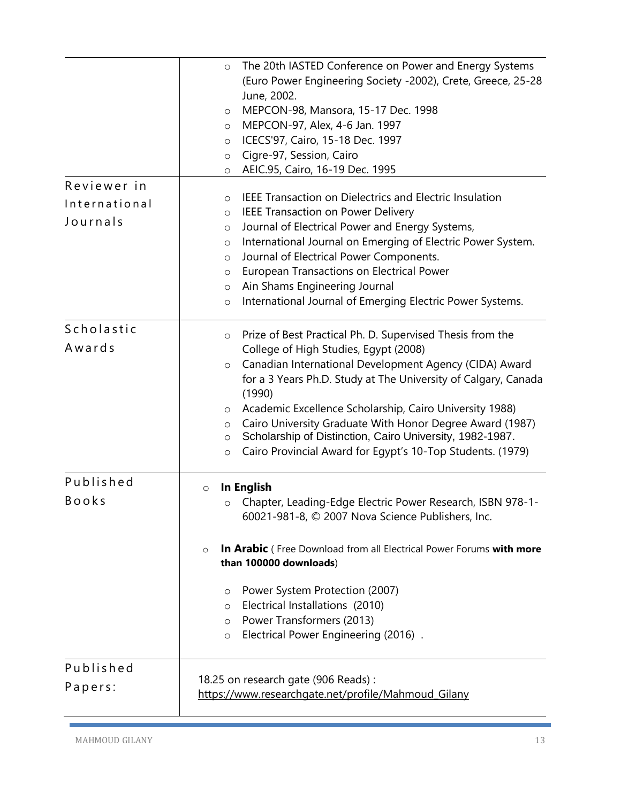|               | The 20th IASTED Conference on Power and Energy Systems<br>$\circ$<br>(Euro Power Engineering Society -2002), Crete, Greece, 25-28<br>June, 2002.<br>MEPCON-98, Mansora, 15-17 Dec. 1998<br>$\circ$<br>MEPCON-97, Alex, 4-6 Jan. 1997<br>$\circ$<br>ICECS'97, Cairo, 15-18 Dec. 1997<br>$\circ$<br>Cigre-97, Session, Cairo<br>$\circ$<br>AEIC.95, Cairo, 16-19 Dec. 1995<br>$\circ$ |
|---------------|-------------------------------------------------------------------------------------------------------------------------------------------------------------------------------------------------------------------------------------------------------------------------------------------------------------------------------------------------------------------------------------|
| Reviewer in   |                                                                                                                                                                                                                                                                                                                                                                                     |
| International | <b>IEEE Transaction on Dielectrics and Electric Insulation</b><br>$\circ$                                                                                                                                                                                                                                                                                                           |
| Journals      | <b>IEEE Transaction on Power Delivery</b><br>O                                                                                                                                                                                                                                                                                                                                      |
|               | Journal of Electrical Power and Energy Systems,<br>$\circ$                                                                                                                                                                                                                                                                                                                          |
|               | International Journal on Emerging of Electric Power System.<br>$\circ$<br>Journal of Electrical Power Components.                                                                                                                                                                                                                                                                   |
|               | $\circ$<br>European Transactions on Electrical Power<br>$\circ$                                                                                                                                                                                                                                                                                                                     |
|               | Ain Shams Engineering Journal<br>$\circ$                                                                                                                                                                                                                                                                                                                                            |
|               | International Journal of Emerging Electric Power Systems.<br>$\circ$                                                                                                                                                                                                                                                                                                                |
| Scholastic    | Prize of Best Practical Ph. D. Supervised Thesis from the<br>$\circ$                                                                                                                                                                                                                                                                                                                |
| Awards        | College of High Studies, Egypt (2008)                                                                                                                                                                                                                                                                                                                                               |
|               | Canadian International Development Agency (CIDA) Award<br>$\circ$                                                                                                                                                                                                                                                                                                                   |
|               | for a 3 Years Ph.D. Study at The University of Calgary, Canada                                                                                                                                                                                                                                                                                                                      |
|               | (1990)                                                                                                                                                                                                                                                                                                                                                                              |
|               | Academic Excellence Scholarship, Cairo University 1988)<br>$\circ$                                                                                                                                                                                                                                                                                                                  |
|               | Cairo University Graduate With Honor Degree Award (1987)<br>$\circ$<br>Scholarship of Distinction, Cairo University, 1982-1987.<br>O                                                                                                                                                                                                                                                |
|               | Cairo Provincial Award for Egypt's 10-Top Students. (1979)<br>$\circ$                                                                                                                                                                                                                                                                                                               |
| Published     | In English<br>$\circ$                                                                                                                                                                                                                                                                                                                                                               |
| <b>Books</b>  | Chapter, Leading-Edge Electric Power Research, ISBN 978-1-<br>O<br>60021-981-8, © 2007 Nova Science Publishers, Inc.                                                                                                                                                                                                                                                                |
|               | In Arabic (Free Download from all Electrical Power Forums with more<br>$\circ$<br>than 100000 downloads)                                                                                                                                                                                                                                                                            |
|               | Power System Protection (2007)<br>$\circ$                                                                                                                                                                                                                                                                                                                                           |
|               | Electrical Installations (2010)<br>$\circ$                                                                                                                                                                                                                                                                                                                                          |
|               | Power Transformers (2013)<br>$\circ$                                                                                                                                                                                                                                                                                                                                                |
|               | Electrical Power Engineering (2016).<br>$\circ$                                                                                                                                                                                                                                                                                                                                     |
| Published     |                                                                                                                                                                                                                                                                                                                                                                                     |
| Papers:       | 18.25 on research gate (906 Reads):                                                                                                                                                                                                                                                                                                                                                 |
|               | https://www.researchgate.net/profile/Mahmoud_Gilany                                                                                                                                                                                                                                                                                                                                 |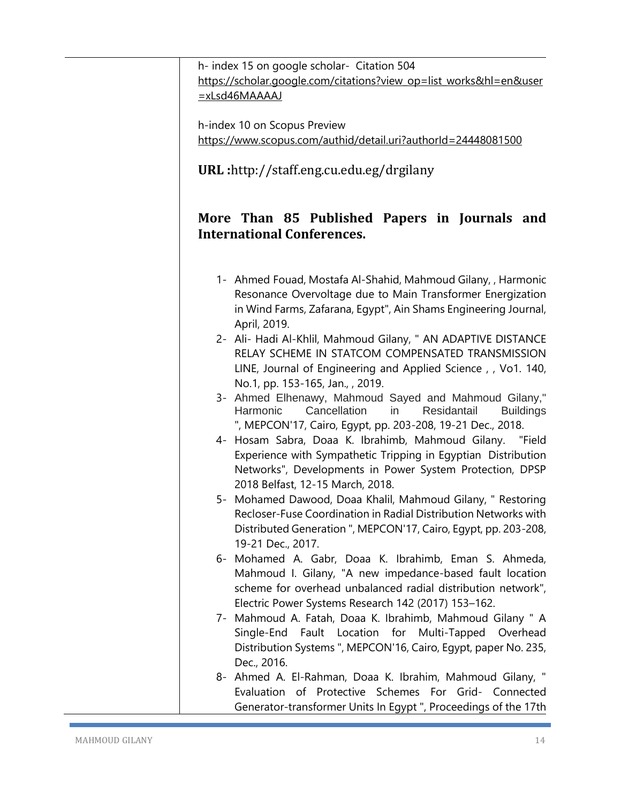h- index 15 on google scholar- Citation 504 [https://scholar.google.com/citations?view\\_op=list\\_works&hl=en&user](https://scholar.google.com/citations?view_op=list_works&hl=en&user=xLsd46MAAAAJ) [=xLsd46MAAAAJ](https://scholar.google.com/citations?view_op=list_works&hl=en&user=xLsd46MAAAAJ)

h-index 10 on Scopus Preview <https://www.scopus.com/authid/detail.uri?authorId=24448081500>

**URL :**http://staff.eng.cu.edu.eg/drgilany

## **More Than 85 Published Papers in Journals and International Conferences.**

- 1- Ahmed Fouad, Mostafa Al-Shahid, Mahmoud Gilany, , Harmonic Resonance Overvoltage due to Main Transformer Energization in Wind Farms, Zafarana, Egypt", Ain Shams Engineering Journal, April, 2019.
- 2- Ali- Hadi Al-Khlil, Mahmoud Gilany, " AN ADAPTIVE DISTANCE RELAY SCHEME IN STATCOM COMPENSATED TRANSMISSION LINE, Journal of Engineering and Applied Science , , Vo1. 140, No.1, pp. 153-165, Jan., , 2019.
- 3- Ahmed Elhenawy, Mahmoud Sayed and Mahmoud Gilany," Harmonic Cancellation in Residantail Buildings ", MEPCON'17, Cairo, Egypt, pp. 203-208, 19-21 Dec., 2018.
- 4- Hosam Sabra, Doaa K. Ibrahimb, Mahmoud Gilany. "Field Experience with Sympathetic Tripping in Egyptian Distribution Networks", Developments in Power System Protection, DPSP 2018 Belfast, 12-15 March, 2018.
- 5- Mohamed Dawood, Doaa Khalil, Mahmoud Gilany, " Restoring Recloser-Fuse Coordination in Radial Distribution Networks with Distributed Generation ", MEPCON'17, Cairo, Egypt, pp. 203-208, 19-21 Dec., 2017.
- 6- Mohamed A. Gabr, Doaa K. Ibrahimb, Eman S. Ahmeda, Mahmoud I. Gilany, "A new impedance-based fault location scheme for overhead unbalanced radial distribution network", Electric Power Systems Research 142 (2017) 153–162.
- 7- Mahmoud A. Fatah, Doaa K. Ibrahimb, Mahmoud Gilany " A Single-End Fault Location for Multi-Tapped Overhead Distribution Systems ", MEPCON'16, Cairo, Egypt, paper No. 235, Dec., 2016.
- 8- Ahmed A. El-Rahman, Doaa K. Ibrahim, Mahmoud Gilany, " Evaluation of Protective Schemes For Grid- Connected Generator-transformer Units In Egypt ", Proceedings of the 17th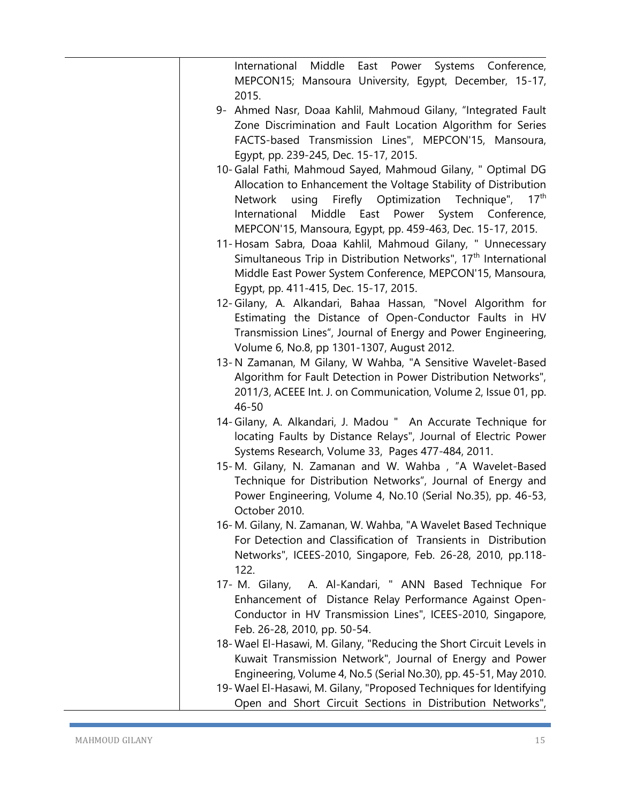| Middle<br>International<br>East Power<br>Systems Conference,<br>MEPCON15; Mansoura University, Egypt, December, 15-17,<br>2015.                                                                                                                                                                                                            |
|--------------------------------------------------------------------------------------------------------------------------------------------------------------------------------------------------------------------------------------------------------------------------------------------------------------------------------------------|
| 9- Ahmed Nasr, Doaa Kahlil, Mahmoud Gilany, "Integrated Fault<br>Zone Discrimination and Fault Location Algorithm for Series<br>FACTS-based Transmission Lines", MEPCON'15, Mansoura,<br>Egypt, pp. 239-245, Dec. 15-17, 2015.                                                                                                             |
| 10- Galal Fathi, Mahmoud Sayed, Mahmoud Gilany, " Optimal DG<br>Allocation to Enhancement the Voltage Stability of Distribution<br>Firefly Optimization<br>Technique",<br>17 <sup>th</sup><br><b>Network</b><br>using<br>International Middle East Power System Conference,<br>MEPCON'15, Mansoura, Egypt, pp. 459-463, Dec. 15-17, 2015.  |
| 11- Hosam Sabra, Doaa Kahlil, Mahmoud Gilany, " Unnecessary<br>Simultaneous Trip in Distribution Networks", 17 <sup>th</sup> International<br>Middle East Power System Conference, MEPCON'15, Mansoura,<br>Egypt, pp. 411-415, Dec. 15-17, 2015.                                                                                           |
| 12-Gilany, A. Alkandari, Bahaa Hassan, "Novel Algorithm for<br>Estimating the Distance of Open-Conductor Faults in HV<br>Transmission Lines", Journal of Energy and Power Engineering,<br>Volume 6, No.8, pp 1301-1307, August 2012.                                                                                                       |
| 13-N Zamanan, M Gilany, W Wahba, "A Sensitive Wavelet-Based<br>Algorithm for Fault Detection in Power Distribution Networks",<br>2011/3, ACEEE Int. J. on Communication, Volume 2, Issue 01, pp.<br>46-50                                                                                                                                  |
| 14-Gilany, A. Alkandari, J. Madou " An Accurate Technique for<br>locating Faults by Distance Relays", Journal of Electric Power<br>Systems Research, Volume 33, Pages 477-484, 2011.                                                                                                                                                       |
| 15-M. Gilany, N. Zamanan and W. Wahba, "A Wavelet-Based<br>Technique for Distribution Networks", Journal of Energy and<br>Power Engineering, Volume 4, No.10 (Serial No.35), pp. 46-53,<br>October 2010.                                                                                                                                   |
| 16-M. Gilany, N. Zamanan, W. Wahba, "A Wavelet Based Technique<br>For Detection and Classification of Transients in Distribution<br>Networks", ICEES-2010, Singapore, Feb. 26-28, 2010, pp.118-<br>122.                                                                                                                                    |
| 17- M. Gilany, A. Al-Kandari, " ANN Based Technique For<br>Enhancement of Distance Relay Performance Against Open-<br>Conductor in HV Transmission Lines", ICEES-2010, Singapore,<br>Feb. 26-28, 2010, pp. 50-54.                                                                                                                          |
| 18- Wael El-Hasawi, M. Gilany, "Reducing the Short Circuit Levels in<br>Kuwait Transmission Network", Journal of Energy and Power<br>Engineering, Volume 4, No.5 (Serial No.30), pp. 45-51, May 2010.<br>19- Wael El-Hasawi, M. Gilany, "Proposed Techniques for Identifying<br>Open and Short Circuit Sections in Distribution Networks", |
|                                                                                                                                                                                                                                                                                                                                            |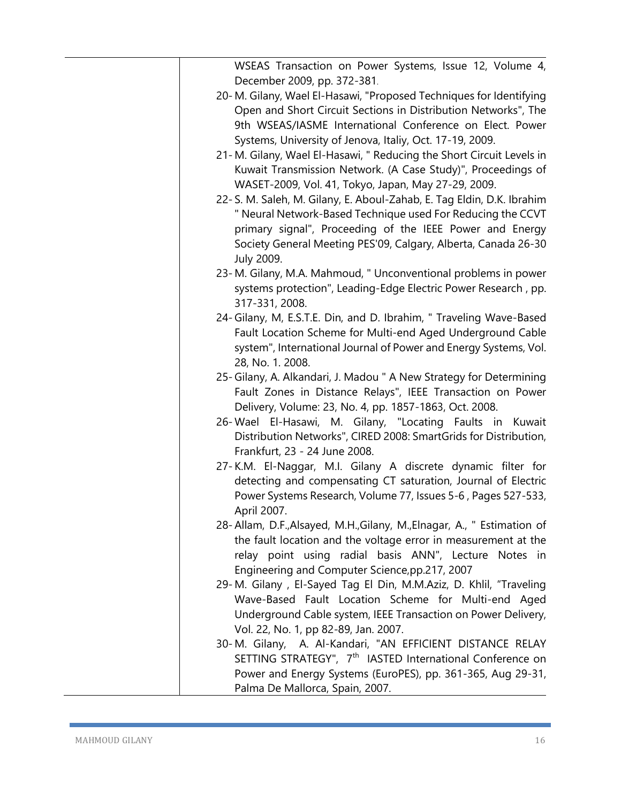|             | WSEAS Transaction on Power Systems, Issue 12, Volume 4,<br>December 2009, pp. 372-381.                                                                                                                                                                                                                                    |
|-------------|---------------------------------------------------------------------------------------------------------------------------------------------------------------------------------------------------------------------------------------------------------------------------------------------------------------------------|
|             | 20-M. Gilany, Wael El-Hasawi, "Proposed Techniques for Identifying<br>Open and Short Circuit Sections in Distribution Networks", The<br>9th WSEAS/IASME International Conference on Elect. Power<br>Systems, University of Jenova, Italiy, Oct. 17-19, 2009.                                                              |
|             | 21-M. Gilany, Wael El-Hasawi, " Reducing the Short Circuit Levels in<br>Kuwait Transmission Network. (A Case Study)", Proceedings of                                                                                                                                                                                      |
| July 2009.  | WASET-2009, Vol. 41, Tokyo, Japan, May 27-29, 2009.<br>22-S. M. Saleh, M. Gilany, E. Aboul-Zahab, E. Tag Eldin, D.K. Ibrahim<br>" Neural Network-Based Technique used For Reducing the CCVT<br>primary signal", Proceeding of the IEEE Power and Energy<br>Society General Meeting PES'09, Calgary, Alberta, Canada 26-30 |
|             | 23-M. Gilany, M.A. Mahmoud, " Unconventional problems in power<br>systems protection", Leading-Edge Electric Power Research, pp.<br>317-331, 2008.                                                                                                                                                                        |
|             | 24- Gilany, M, E.S.T.E. Din, and D. Ibrahim, " Traveling Wave-Based<br>Fault Location Scheme for Multi-end Aged Underground Cable<br>system", International Journal of Power and Energy Systems, Vol.<br>28, No. 1. 2008.                                                                                                 |
|             | 25-Gilany, A. Alkandari, J. Madou " A New Strategy for Determining<br>Fault Zones in Distance Relays", IEEE Transaction on Power<br>Delivery, Volume: 23, No. 4, pp. 1857-1863, Oct. 2008.                                                                                                                                |
|             | 26-Wael El-Hasawi, M. Gilany, "Locating Faults in Kuwait<br>Distribution Networks", CIRED 2008: SmartGrids for Distribution,<br>Frankfurt, 23 - 24 June 2008.                                                                                                                                                             |
| April 2007. | 27-K.M. El-Naggar, M.I. Gilany A discrete dynamic filter for<br>detecting and compensating CT saturation, Journal of Electric<br>Power Systems Research, Volume 77, Issues 5-6, Pages 527-533,                                                                                                                            |
|             | 28- Allam, D.F., Alsayed, M.H., Gilany, M., Elnagar, A., " Estimation of<br>the fault location and the voltage error in measurement at the<br>relay point using radial basis ANN", Lecture Notes in<br>Engineering and Computer Science, pp.217, 2007                                                                     |
|             | 29-M. Gilany, El-Sayed Tag El Din, M.M.Aziz, D. Khlil, "Traveling<br>Wave-Based Fault Location Scheme for Multi-end Aged<br>Underground Cable system, IEEE Transaction on Power Delivery,<br>Vol. 22, No. 1, pp 82-89, Jan. 2007.                                                                                         |
|             | 30-M. Gilany, A. Al-Kandari, "AN EFFICIENT DISTANCE RELAY<br>SETTING STRATEGY", 7 <sup>th</sup> IASTED International Conference on<br>Power and Energy Systems (EuroPES), pp. 361-365, Aug 29-31,<br>Palma De Mallorca, Spain, 2007.                                                                                      |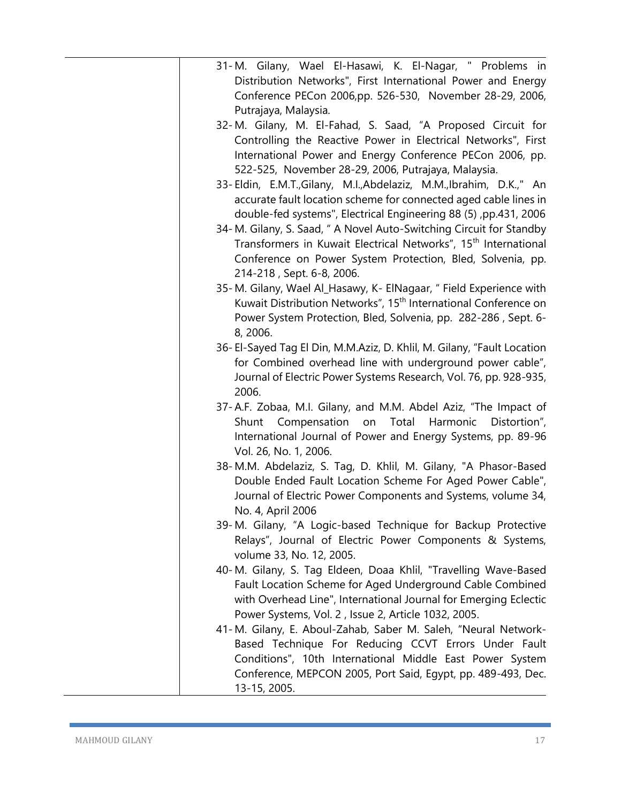| 31-M. Gilany, Wael El-Hasawi, K. El-Nagar, " Problems in                    |
|-----------------------------------------------------------------------------|
| Distribution Networks", First International Power and Energy                |
| Conference PECon 2006,pp. 526-530, November 28-29, 2006,                    |
| Putrajaya, Malaysia.                                                        |
| 32-M. Gilany, M. El-Fahad, S. Saad, "A Proposed Circuit for                 |
| Controlling the Reactive Power in Electrical Networks", First               |
| International Power and Energy Conference PECon 2006, pp.                   |
| 522-525, November 28-29, 2006, Putrajaya, Malaysia.                         |
|                                                                             |
| 33-Eldin, E.M.T., Gilany, M.I., Abdelaziz, M.M., Ibrahim, D.K.," An         |
| accurate fault location scheme for connected aged cable lines in            |
| double-fed systems", Electrical Engineering 88 (5), pp.431, 2006            |
| 34-M. Gilany, S. Saad, " A Novel Auto-Switching Circuit for Standby         |
| Transformers in Kuwait Electrical Networks", 15 <sup>th</sup> International |
| Conference on Power System Protection, Bled, Solvenia, pp.                  |
| 214-218, Sept. 6-8, 2006.                                                   |
| 35-M. Gilany, Wael Al_Hasawy, K- ElNagaar, " Field Experience with          |
| Kuwait Distribution Networks", 15 <sup>th</sup> International Conference on |
| Power System Protection, Bled, Solvenia, pp. 282-286, Sept. 6-              |
| 8, 2006.                                                                    |
| 36- El-Sayed Tag El Din, M.M.Aziz, D. Khlil, M. Gilany, "Fault Location     |
| for Combined overhead line with underground power cable",                   |
| Journal of Electric Power Systems Research, Vol. 76, pp. 928-935,           |
| 2006.                                                                       |
| 37-A.F. Zobaa, M.I. Gilany, and M.M. Abdel Aziz, "The Impact of             |
| Compensation<br>Total<br>Harmonic<br>Distortion",<br>Shunt<br>on            |
| International Journal of Power and Energy Systems, pp. 89-96                |
| Vol. 26, No. 1, 2006.                                                       |
| 38-M.M. Abdelaziz, S. Tag, D. Khlil, M. Gilany, "A Phasor-Based             |
| Double Ended Fault Location Scheme For Aged Power Cable",                   |
|                                                                             |
| Journal of Electric Power Components and Systems, volume 34,                |
| No. 4, April 2006                                                           |
| 39-M. Gilany, "A Logic-based Technique for Backup Protective                |
| Relays", Journal of Electric Power Components & Systems,                    |
| volume 33, No. 12, 2005.                                                    |
| 40-M. Gilany, S. Tag Eldeen, Doaa Khlil, "Travelling Wave-Based             |
| Fault Location Scheme for Aged Underground Cable Combined                   |
| with Overhead Line", International Journal for Emerging Eclectic            |
| Power Systems, Vol. 2, Issue 2, Article 1032, 2005.                         |
| 41-M. Gilany, E. Aboul-Zahab, Saber M. Saleh, "Neural Network-              |
| Based Technique For Reducing CCVT Errors Under Fault                        |
| Conditions", 10th International Middle East Power System                    |
| Conference, MEPCON 2005, Port Said, Egypt, pp. 489-493, Dec.                |
| 13-15, 2005.                                                                |
|                                                                             |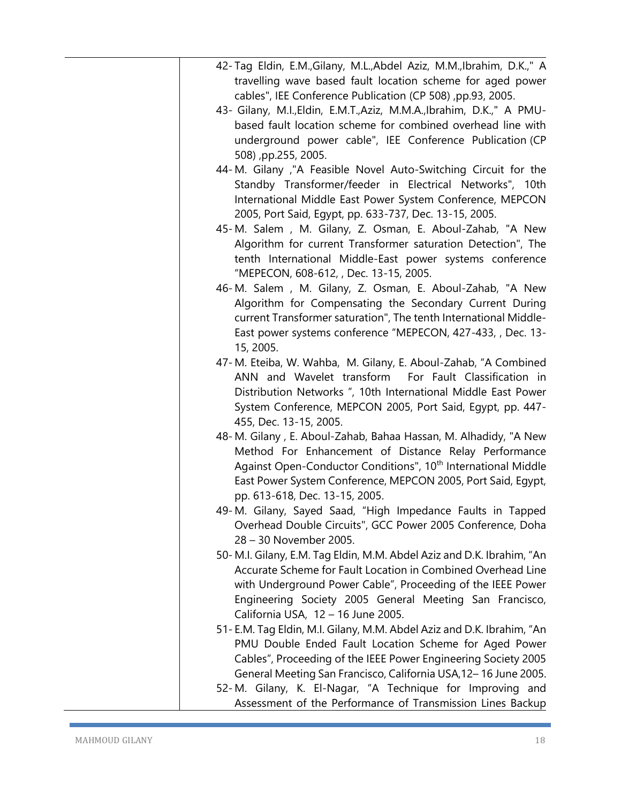| 42-Tag Eldin, E.M., Gilany, M.L., Abdel Aziz, M.M., Ibrahim, D.K.," A                |
|--------------------------------------------------------------------------------------|
| travelling wave based fault location scheme for aged power                           |
| cables", IEE Conference Publication (CP 508), pp.93, 2005.                           |
| 43- Gilany, M.I., Eldin, E.M.T., Aziz, M.M.A., Ibrahim, D.K.," A PMU-                |
| based fault location scheme for combined overhead line with                          |
| underground power cable", IEE Conference Publication (CP                             |
| 508), pp.255, 2005.                                                                  |
| 44-M. Gilany, "A Feasible Novel Auto-Switching Circuit for the                       |
| Standby Transformer/feeder in Electrical Networks", 10th                             |
| International Middle East Power System Conference, MEPCON                            |
| 2005, Port Said, Egypt, pp. 633-737, Dec. 13-15, 2005.                               |
| 45-M. Salem, M. Gilany, Z. Osman, E. Aboul-Zahab, "A New                             |
| Algorithm for current Transformer saturation Detection", The                         |
| tenth International Middle-East power systems conference                             |
| "MEPECON, 608-612, , Dec. 13-15, 2005.                                               |
| 46-M. Salem, M. Gilany, Z. Osman, E. Aboul-Zahab, "A New                             |
| Algorithm for Compensating the Secondary Current During                              |
| current Transformer saturation", The tenth International Middle-                     |
| East power systems conference "MEPECON, 427-433, , Dec. 13-                          |
| 15, 2005.                                                                            |
| 47-M. Eteiba, W. Wahba, M. Gilany, E. Aboul-Zahab, "A Combined                       |
| ANN and Wavelet transform For Fault Classification in                                |
| Distribution Networks ", 10th International Middle East Power                        |
| System Conference, MEPCON 2005, Port Said, Egypt, pp. 447-                           |
| 455, Dec. 13-15, 2005.                                                               |
| 48-M. Gilany, E. Aboul-Zahab, Bahaa Hassan, M. Alhadidy, "A New                      |
| Method For Enhancement of Distance Relay Performance                                 |
| Against Open-Conductor Conditions", 10 <sup>th</sup> International Middle            |
| East Power System Conference, MEPCON 2005, Port Said, Egypt,                         |
| pp. 613-618, Dec. 13-15, 2005.                                                       |
| 49-M. Gilany, Sayed Saad, "High Impedance Faults in Tapped                           |
| Overhead Double Circuits", GCC Power 2005 Conference, Doha<br>28 - 30 November 2005. |
| 50-M.I. Gilany, E.M. Tag Eldin, M.M. Abdel Aziz and D.K. Ibrahim, "An                |
| Accurate Scheme for Fault Location in Combined Overhead Line                         |
| with Underground Power Cable", Proceeding of the IEEE Power                          |
| Engineering Society 2005 General Meeting San Francisco,                              |
| California USA, 12 - 16 June 2005.                                                   |
| 51-E.M. Tag Eldin, M.I. Gilany, M.M. Abdel Aziz and D.K. Ibrahim, "An                |
| PMU Double Ended Fault Location Scheme for Aged Power                                |
| Cables", Proceeding of the IEEE Power Engineering Society 2005                       |
| General Meeting San Francisco, California USA, 12-16 June 2005.                      |
| 52-M. Gilany, K. El-Nagar, "A Technique for Improving and                            |
| Assessment of the Performance of Transmission Lines Backup                           |
|                                                                                      |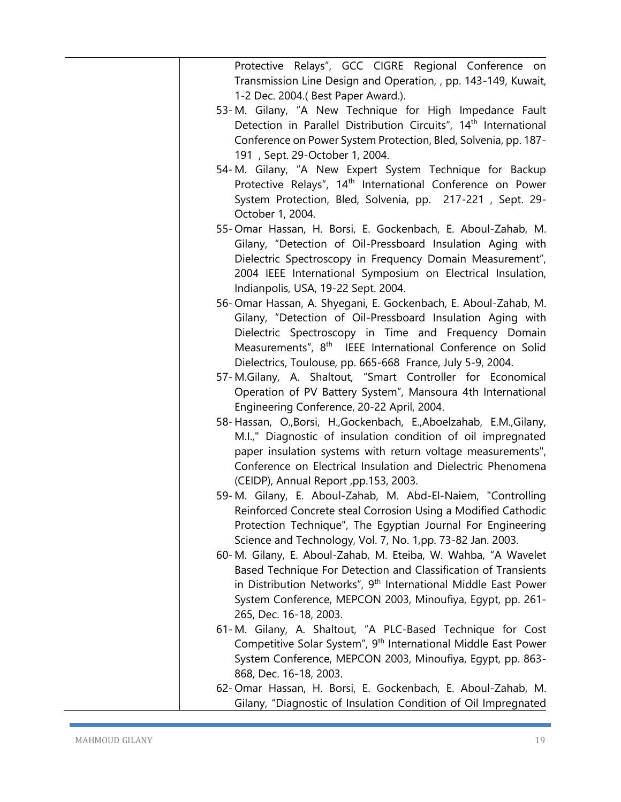| Protective Relays", GCC CIGRE Regional Conference on<br>Transmission Line Design and Operation, , pp. 143-149, Kuwait,<br>1-2 Dec. 2004.(Best Paper Award.).                                                                                                                                                                |
|-----------------------------------------------------------------------------------------------------------------------------------------------------------------------------------------------------------------------------------------------------------------------------------------------------------------------------|
| 53-M. Gilany, "A New Technique for High Impedance Fault<br>Detection in Parallel Distribution Circuits", 14 <sup>th</sup> International<br>Conference on Power System Protection, Bled, Solvenia, pp. 187-<br>191, Sept. 29-October 1, 2004.                                                                                |
| 54-M. Gilany, "A New Expert System Technique for Backup<br>Protective Relays", 14 <sup>th</sup> International Conference on Power<br>System Protection, Bled, Solvenia, pp. 217-221, Sept. 29-<br>October 1, 2004.                                                                                                          |
| 55-Omar Hassan, H. Borsi, E. Gockenbach, E. Aboul-Zahab, M.<br>Gilany, "Detection of Oil-Pressboard Insulation Aging with<br>Dielectric Spectroscopy in Frequency Domain Measurement",<br>2004 IEEE International Symposium on Electrical Insulation,<br>Indianpolis, USA, 19-22 Sept. 2004.                                |
| 56-Omar Hassan, A. Shyegani, E. Gockenbach, E. Aboul-Zahab, M.<br>Gilany, "Detection of Oil-Pressboard Insulation Aging with<br>Dielectric Spectroscopy in Time and Frequency Domain<br>Measurements", 8 <sup>th</sup> IEEE International Conference on Solid<br>Dielectrics, Toulouse, pp. 665-668 France, July 5-9, 2004. |
| 57-M.Gilany, A. Shaltout, "Smart Controller for Economical<br>Operation of PV Battery System", Mansoura 4th International<br>Engineering Conference, 20-22 April, 2004.                                                                                                                                                     |
| 58-Hassan, O.,Borsi, H.,Gockenbach, E.,Aboelzahab, E.M.,Gilany,<br>M.I.," Diagnostic of insulation condition of oil impregnated<br>paper insulation systems with return voltage measurements",<br>Conference on Electrical Insulation and Dielectric Phenomena<br>(CEIDP), Annual Report, pp.153, 2003.                     |
| 59-M. Gilany, E. Aboul-Zahab, M. Abd-El-Naiem, "Controlling<br>Reinforced Concrete steal Corrosion Using a Modified Cathodic<br>Protection Technique", The Egyptian Journal For Engineering<br>Science and Technology, Vol. 7, No. 1,pp. 73-82 Jan. 2003.                                                                   |
| 60-M. Gilany, E. Aboul-Zahab, M. Eteiba, W. Wahba, "A Wavelet<br>Based Technique For Detection and Classification of Transients<br>in Distribution Networks", 9 <sup>th</sup> International Middle East Power<br>System Conference, MEPCON 2003, Minoufiya, Egypt, pp. 261-<br>265, Dec. 16-18, 2003.                       |
| 61-M. Gilany, A. Shaltout, "A PLC-Based Technique for Cost<br>Competitive Solar System", 9 <sup>th</sup> International Middle East Power<br>System Conference, MEPCON 2003, Minoufiya, Egypt, pp. 863-<br>868, Dec. 16-18, 2003.                                                                                            |
| 62-Omar Hassan, H. Borsi, E. Gockenbach, E. Aboul-Zahab, M.<br>Gilany, "Diagnostic of Insulation Condition of Oil Impregnated                                                                                                                                                                                               |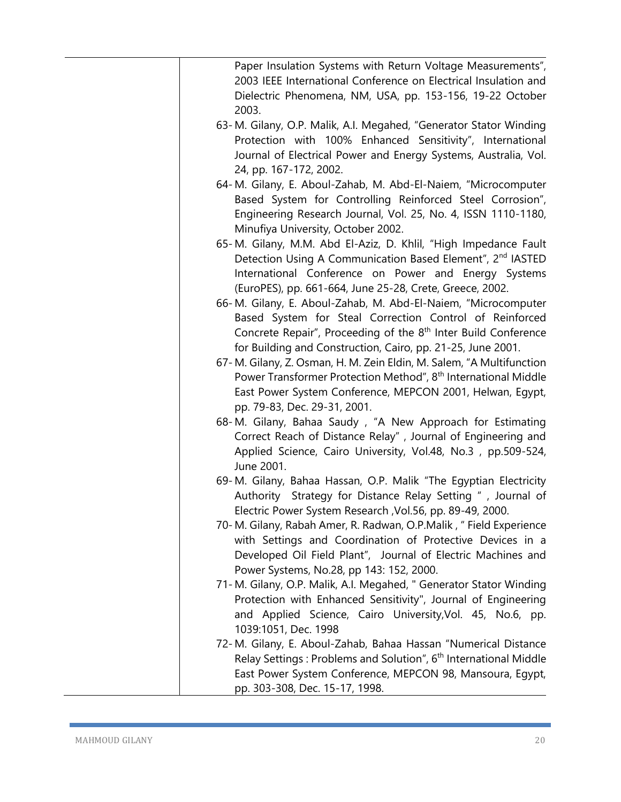| Paper Insulation Systems with Return Voltage Measurements",<br>2003 IEEE International Conference on Electrical Insulation and<br>Dielectric Phenomena, NM, USA, pp. 153-156, 19-22 October<br>2003.                                                                  |
|-----------------------------------------------------------------------------------------------------------------------------------------------------------------------------------------------------------------------------------------------------------------------|
| 63-M. Gilany, O.P. Malik, A.I. Megahed, "Generator Stator Winding<br>Protection with 100% Enhanced Sensitivity", International<br>Journal of Electrical Power and Energy Systems, Australia, Vol.<br>24, pp. 167-172, 2002.                                           |
| 64-M. Gilany, E. Aboul-Zahab, M. Abd-El-Naiem, "Microcomputer<br>Based System for Controlling Reinforced Steel Corrosion",<br>Engineering Research Journal, Vol. 25, No. 4, ISSN 1110-1180,<br>Minufiya University, October 2002.                                     |
| 65-M. Gilany, M.M. Abd El-Aziz, D. Khlil, "High Impedance Fault<br>Detection Using A Communication Based Element", 2 <sup>nd</sup> IASTED<br>International Conference on Power and Energy Systems<br>(EuroPES), pp. 661-664, June 25-28, Crete, Greece, 2002.         |
| 66-M. Gilany, E. Aboul-Zahab, M. Abd-El-Naiem, "Microcomputer<br>Based System for Steal Correction Control of Reinforced<br>Concrete Repair", Proceeding of the 8 <sup>th</sup> Inter Build Conference<br>for Building and Construction, Cairo, pp. 21-25, June 2001. |
| 67-M. Gilany, Z. Osman, H. M. Zein Eldin, M. Salem, "A Multifunction<br>Power Transformer Protection Method", 8 <sup>th</sup> International Middle<br>East Power System Conference, MEPCON 2001, Helwan, Egypt,<br>pp. 79-83, Dec. 29-31, 2001.                       |
| 68-M. Gilany, Bahaa Saudy, "A New Approach for Estimating<br>Correct Reach of Distance Relay", Journal of Engineering and<br>Applied Science, Cairo University, Vol.48, No.3, pp.509-524,<br>June 2001.                                                               |
| 69-M. Gilany, Bahaa Hassan, O.P. Malik "The Egyptian Electricity<br>Authority Strategy for Distance Relay Setting ", Journal of<br>Electric Power System Research , Vol.56, pp. 89-49, 2000.                                                                          |
| 70-M. Gilany, Rabah Amer, R. Radwan, O.P.Malik, "Field Experience<br>with Settings and Coordination of Protective Devices in a<br>Developed Oil Field Plant", Journal of Electric Machines and<br>Power Systems, No.28, pp 143: 152, 2000.                            |
| 71-M. Gilany, O.P. Malik, A.I. Megahed, " Generator Stator Winding<br>Protection with Enhanced Sensitivity", Journal of Engineering<br>and Applied Science, Cairo University, Vol. 45, No.6, pp.<br>1039:1051, Dec. 1998                                              |
| 72-M. Gilany, E. Aboul-Zahab, Bahaa Hassan "Numerical Distance<br>Relay Settings: Problems and Solution", 6 <sup>th</sup> International Middle<br>East Power System Conference, MEPCON 98, Mansoura, Egypt,<br>pp. 303-308, Dec. 15-17, 1998.                         |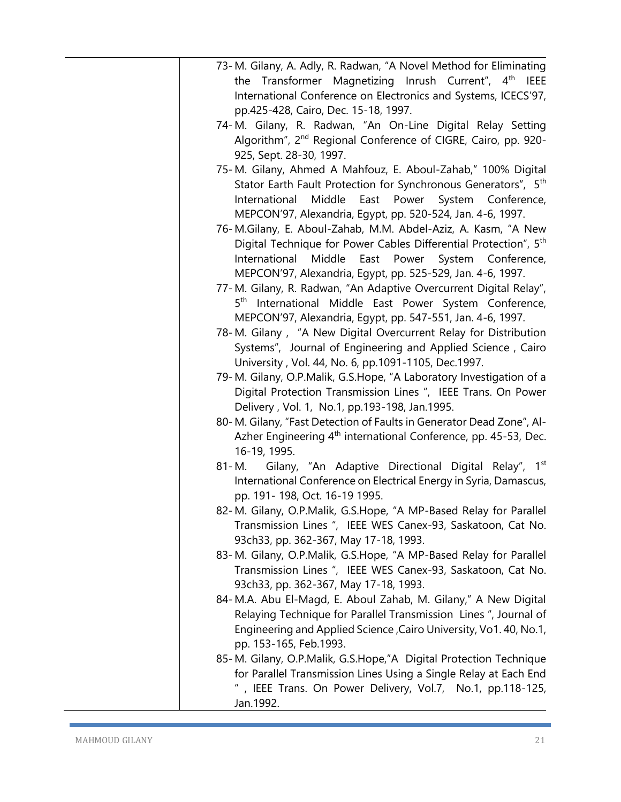| 73-M. Gilany, A. Adly, R. Radwan, "A Novel Method for Eliminating            |
|------------------------------------------------------------------------------|
| the Transformer Magnetizing Inrush Current", 4 <sup>th</sup> IEEE            |
| International Conference on Electronics and Systems, ICECS'97,               |
| pp.425-428, Cairo, Dec. 15-18, 1997.                                         |
| 74-M. Gilany, R. Radwan, "An On-Line Digital Relay Setting                   |
| Algorithm", 2 <sup>nd</sup> Regional Conference of CIGRE, Cairo, pp. 920-    |
| 925, Sept. 28-30, 1997.                                                      |
| 75-M. Gilany, Ahmed A Mahfouz, E. Aboul-Zahab," 100% Digital                 |
| Stator Earth Fault Protection for Synchronous Generators", 5 <sup>th</sup>   |
| East Power System Conference,<br>Middle<br>International                     |
| MEPCON'97, Alexandria, Egypt, pp. 520-524, Jan. 4-6, 1997.                   |
| 76-M.Gilany, E. Aboul-Zahab, M.M. Abdel-Aziz, A. Kasm, "A New                |
| Digital Technique for Power Cables Differential Protection", 5 <sup>th</sup> |
| International<br>Middle<br>East Power System Conference,                     |
| MEPCON'97, Alexandria, Egypt, pp. 525-529, Jan. 4-6, 1997.                   |
| 77-M. Gilany, R. Radwan, "An Adaptive Overcurrent Digital Relay",            |
| 5 <sup>th</sup> International Middle East Power System Conference,           |
| MEPCON'97, Alexandria, Egypt, pp. 547-551, Jan. 4-6, 1997.                   |
| 78-M. Gilany, "A New Digital Overcurrent Relay for Distribution              |
| Systems", Journal of Engineering and Applied Science, Cairo                  |
| University, Vol. 44, No. 6, pp.1091-1105, Dec.1997.                          |
| 79-M. Gilany, O.P.Malik, G.S.Hope, "A Laboratory Investigation of a          |
| Digital Protection Transmission Lines ", IEEE Trans. On Power                |
| Delivery, Vol. 1, No.1, pp.193-198, Jan.1995.                                |
| 80-M. Gilany, "Fast Detection of Faults in Generator Dead Zone", Al-         |
| Azher Engineering 4 <sup>th</sup> international Conference, pp. 45-53, Dec.  |
| 16-19, 1995.                                                                 |
| Gilany, "An Adaptive Directional Digital Relay", 1 <sup>st</sup><br>81- M.   |
| International Conference on Electrical Energy in Syria, Damascus,            |
| pp. 191-198, Oct. 16-19 1995.                                                |
| 82-M. Gilany, O.P.Malik, G.S.Hope, "A MP-Based Relay for Parallel            |
| Transmission Lines ", IEEE WES Canex-93, Saskatoon, Cat No.                  |
| 93ch33, pp. 362-367, May 17-18, 1993.                                        |
| 83-M. Gilany, O.P.Malik, G.S.Hope, "A MP-Based Relay for Parallel            |
| Transmission Lines ", IEEE WES Canex-93, Saskatoon, Cat No.                  |
| 93ch33, pp. 362-367, May 17-18, 1993.                                        |
| 84-M.A. Abu El-Magd, E. Aboul Zahab, M. Gilany," A New Digital               |
| Relaying Technique for Parallel Transmission Lines ", Journal of             |
| Engineering and Applied Science, Cairo University, Vo1.40, No.1,             |
| pp. 153-165, Feb.1993.                                                       |
| 85-M. Gilany, O.P.Malik, G.S.Hope,"A Digital Protection Technique            |
| for Parallel Transmission Lines Using a Single Relay at Each End             |
| ", IEEE Trans. On Power Delivery, Vol.7, No.1, pp.118-125,                   |
| Jan.1992.                                                                    |